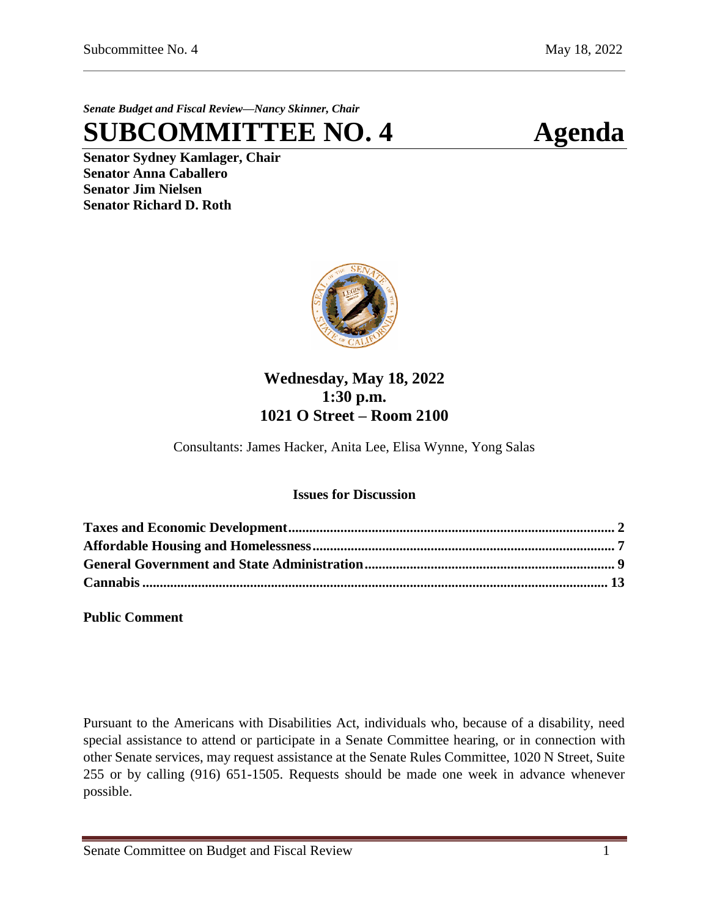*Senate Budget and Fiscal Review—Nancy Skinner, Chair*

**SUBCOMMITTEE NO. 4 Agenda**

**Senator Sydney Kamlager, Chair Senator Anna Caballero Senator Jim Nielsen Senator Richard D. Roth** 



# **Wednesday, May 18, 2022 1:30 p.m. 1021 O Street – Room 2100**

Consultants: James Hacker, Anita Lee, Elisa Wynne, Yong Salas

# **Issues for Discussion**

**Public Comment**

Pursuant to the Americans with Disabilities Act, individuals who, because of a disability, need special assistance to attend or participate in a Senate Committee hearing, or in connection with other Senate services, may request assistance at the Senate Rules Committee, 1020 N Street, Suite 255 or by calling (916) 651-1505. Requests should be made one week in advance whenever possible.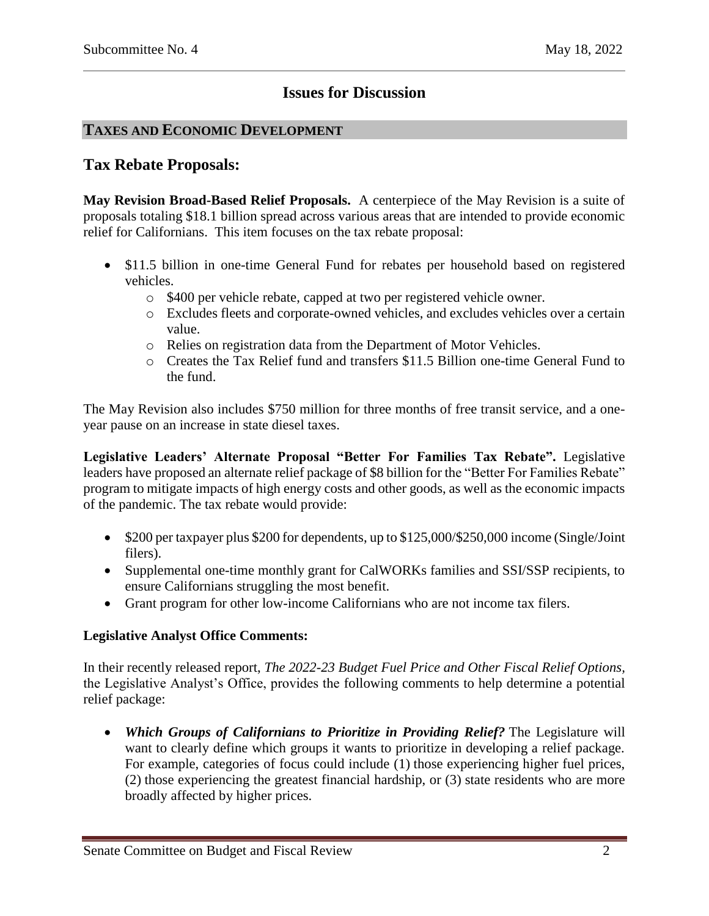# **Issues for Discussion**

# <span id="page-1-0"></span>**TAXES AND ECONOMIC DEVELOPMENT**

# **Tax Rebate Proposals:**

**May Revision Broad-Based Relief Proposals.** A centerpiece of the May Revision is a suite of proposals totaling \$18.1 billion spread across various areas that are intended to provide economic relief for Californians. This item focuses on the tax rebate proposal:

- \$11.5 billion in one-time General Fund for rebates per household based on registered vehicles.
	- o \$400 per vehicle rebate, capped at two per registered vehicle owner.
	- o Excludes fleets and corporate-owned vehicles, and excludes vehicles over a certain value.
	- o Relies on registration data from the Department of Motor Vehicles.
	- o Creates the Tax Relief fund and transfers \$11.5 Billion one-time General Fund to the fund.

The May Revision also includes \$750 million for three months of free transit service, and a oneyear pause on an increase in state diesel taxes.

**Legislative Leaders' Alternate Proposal "Better For Families Tax Rebate".** Legislative leaders have proposed an alternate relief package of \$8 billion for the "Better For Families Rebate" program to mitigate impacts of high energy costs and other goods, as well as the economic impacts of the pandemic. The tax rebate would provide:

- \$200 per taxpayer plus \$200 for dependents, up to \$125,000/\$250,000 income (Single/Joint filers).
- Supplemental one-time monthly grant for CalWORKs families and SSI/SSP recipients, to ensure Californians struggling the most benefit.
- Grant program for other low-income Californians who are not income tax filers.

# **Legislative Analyst Office Comments:**

In their recently released report, *[The 2022-23 Budget](https://lao.ca.gov/Budget?year=2022) Fuel Price and Other Fiscal Relief Options,* the Legislative Analyst's Office, provides the following comments to help determine a potential relief package:

 *Which Groups of Californians to Prioritize in Providing Relief?* The Legislature will want to clearly define which groups it wants to prioritize in developing a relief package. For example, categories of focus could include (1) those experiencing higher fuel prices, (2) those experiencing the greatest financial hardship, or (3) state residents who are more broadly affected by higher prices.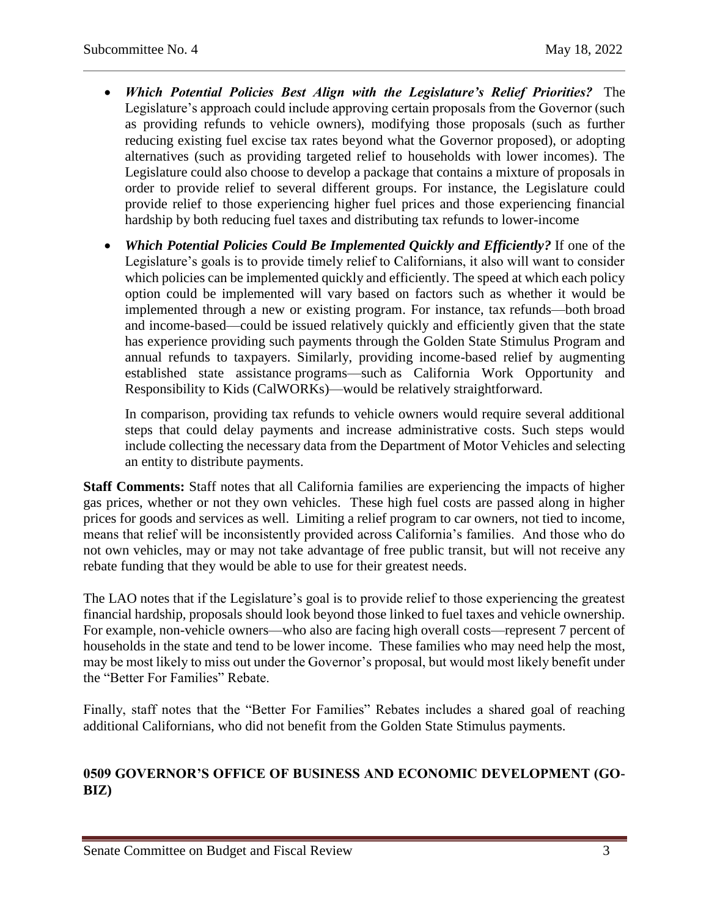- *Which Potential Policies Best Align with the Legislature's Relief Priorities?* The Legislature's approach could include approving certain proposals from the Governor (such as providing refunds to vehicle owners), modifying those proposals (such as further reducing existing fuel excise tax rates beyond what the Governor proposed), or adopting alternatives (such as providing targeted relief to households with lower incomes). The Legislature could also choose to develop a package that contains a mixture of proposals in order to provide relief to several different groups. For instance, the Legislature could provide relief to those experiencing higher fuel prices and those experiencing financial hardship by both reducing fuel taxes and distributing tax refunds to lower-income
- *Which Potential Policies Could Be Implemented Quickly and Efficiently?* If one of the Legislature's goals is to provide timely relief to Californians, it also will want to consider which policies can be implemented quickly and efficiently. The speed at which each policy option could be implemented will vary based on factors such as whether it would be implemented through a new or existing program. For instance, tax refunds—both broad and income-based—could be issued relatively quickly and efficiently given that the state has experience providing such payments through the Golden State Stimulus Program and annual refunds to taxpayers. Similarly, providing income-based relief by augmenting established state assistance programs—such as California Work Opportunity and Responsibility to Kids (CalWORKs)—would be relatively straightforward.

In comparison, providing tax refunds to vehicle owners would require several additional steps that could delay payments and increase administrative costs. Such steps would include collecting the necessary data from the Department of Motor Vehicles and selecting an entity to distribute payments.

**Staff Comments:** Staff notes that all California families are experiencing the impacts of higher gas prices, whether or not they own vehicles. These high fuel costs are passed along in higher prices for goods and services as well. Limiting a relief program to car owners, not tied to income, means that relief will be inconsistently provided across California's families. And those who do not own vehicles, may or may not take advantage of free public transit, but will not receive any rebate funding that they would be able to use for their greatest needs.

The LAO notes that if the Legislature's goal is to provide relief to those experiencing the greatest financial hardship, proposals should look beyond those linked to fuel taxes and vehicle ownership. For example, non-vehicle owners—who also are facing high overall costs—represent 7 percent of households in the state and tend to be lower income. These families who may need help the most, may be most likely to miss out under the Governor's proposal, but would most likely benefit under the "Better For Families" Rebate.

Finally, staff notes that the "Better For Families" Rebates includes a shared goal of reaching additional Californians, who did not benefit from the Golden State Stimulus payments.

# **0509 GOVERNOR'S OFFICE OF BUSINESS AND ECONOMIC DEVELOPMENT (GO-BIZ)**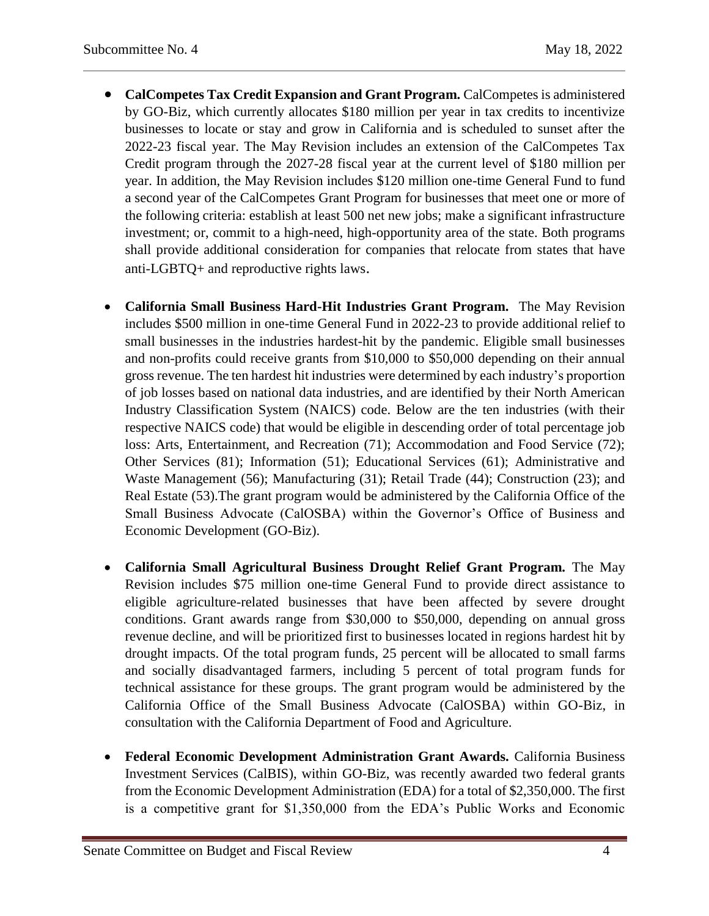- **CalCompetes Tax Credit Expansion and Grant Program.** CalCompetes is administered by GO-Biz, which currently allocates \$180 million per year in tax credits to incentivize businesses to locate or stay and grow in California and is scheduled to sunset after the 2022-23 fiscal year. The May Revision includes an extension of the CalCompetes Tax Credit program through the 2027-28 fiscal year at the current level of \$180 million per year. In addition, the May Revision includes \$120 million one-time General Fund to fund a second year of the CalCompetes Grant Program for businesses that meet one or more of the following criteria: establish at least 500 net new jobs; make a significant infrastructure investment; or, commit to a high-need, high-opportunity area of the state. Both programs shall provide additional consideration for companies that relocate from states that have anti-LGBTQ+ and reproductive rights laws.
- **California Small Business Hard-Hit Industries Grant Program.** The May Revision includes \$500 million in one-time General Fund in 2022-23 to provide additional relief to small businesses in the industries hardest-hit by the pandemic. Eligible small businesses and non-profits could receive grants from \$10,000 to \$50,000 depending on their annual gross revenue. The ten hardest hit industries were determined by each industry's proportion of job losses based on national data industries, and are identified by their North American Industry Classification System (NAICS) code. Below are the ten industries (with their respective NAICS code) that would be eligible in descending order of total percentage job loss: Arts, Entertainment, and Recreation (71); Accommodation and Food Service (72); Other Services (81); Information (51); Educational Services (61); Administrative and Waste Management (56); Manufacturing (31); Retail Trade (44); Construction (23); and Real Estate (53).The grant program would be administered by the California Office of the Small Business Advocate (CalOSBA) within the Governor's Office of Business and Economic Development (GO-Biz).
- **California Small Agricultural Business Drought Relief Grant Program.** The May Revision includes \$75 million one-time General Fund to provide direct assistance to eligible agriculture-related businesses that have been affected by severe drought conditions. Grant awards range from \$30,000 to \$50,000, depending on annual gross revenue decline, and will be prioritized first to businesses located in regions hardest hit by drought impacts. Of the total program funds, 25 percent will be allocated to small farms and socially disadvantaged farmers, including 5 percent of total program funds for technical assistance for these groups. The grant program would be administered by the California Office of the Small Business Advocate (CalOSBA) within GO-Biz, in consultation with the California Department of Food and Agriculture.
- **Federal Economic Development Administration Grant Awards.** California Business Investment Services (CalBIS), within GO-Biz, was recently awarded two federal grants from the Economic Development Administration (EDA) for a total of \$2,350,000. The first is a competitive grant for \$1,350,000 from the EDA's Public Works and Economic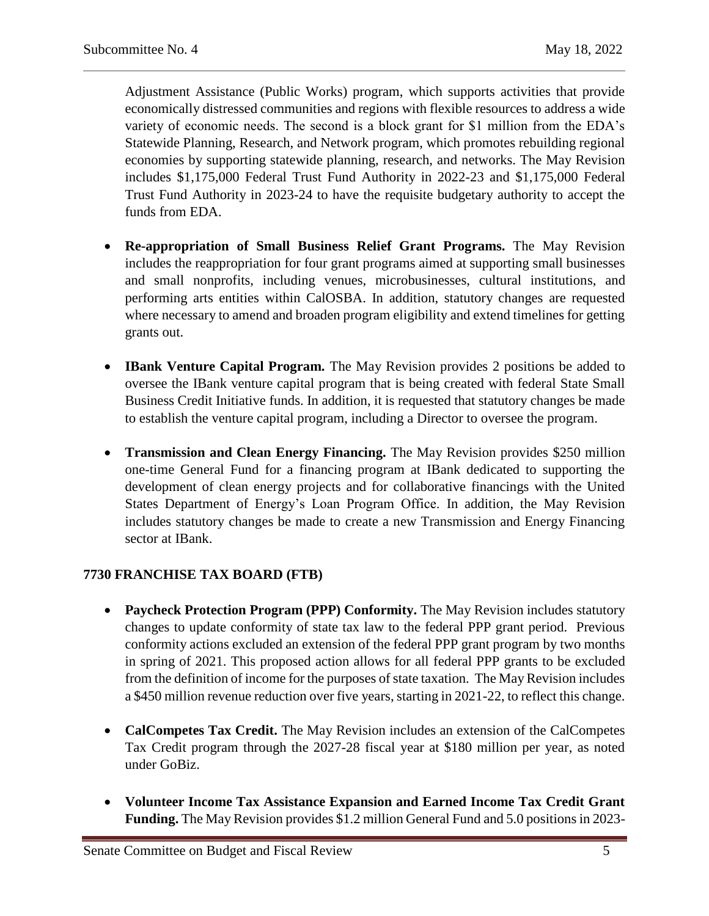Adjustment Assistance (Public Works) program, which supports activities that provide economically distressed communities and regions with flexible resources to address a wide variety of economic needs. The second is a block grant for \$1 million from the EDA's Statewide Planning, Research, and Network program, which promotes rebuilding regional economies by supporting statewide planning, research, and networks. The May Revision includes \$1,175,000 Federal Trust Fund Authority in 2022-23 and \$1,175,000 Federal Trust Fund Authority in 2023-24 to have the requisite budgetary authority to accept the funds from EDA.

- **Re-appropriation of Small Business Relief Grant Programs.** The May Revision includes the reappropriation for four grant programs aimed at supporting small businesses and small nonprofits, including venues, microbusinesses, cultural institutions, and performing arts entities within CalOSBA. In addition, statutory changes are requested where necessary to amend and broaden program eligibility and extend timelines for getting grants out.
- **IBank Venture Capital Program.** The May Revision provides 2 positions be added to oversee the IBank venture capital program that is being created with federal State Small Business Credit Initiative funds. In addition, it is requested that statutory changes be made to establish the venture capital program, including a Director to oversee the program.
- **Transmission and Clean Energy Financing.** The May Revision provides \$250 million one-time General Fund for a financing program at IBank dedicated to supporting the development of clean energy projects and for collaborative financings with the United States Department of Energy's Loan Program Office. In addition, the May Revision includes statutory changes be made to create a new Transmission and Energy Financing sector at IBank.

# **7730 FRANCHISE TAX BOARD (FTB)**

- Paycheck Protection Program (PPP) Conformity. The May Revision includes statutory changes to update conformity of state tax law to the federal PPP grant period. Previous conformity actions excluded an extension of the federal PPP grant program by two months in spring of 2021. This proposed action allows for all federal PPP grants to be excluded from the definition of income for the purposes of state taxation. The May Revision includes a \$450 million revenue reduction over five years, starting in 2021-22, to reflect this change.
- **CalCompetes Tax Credit.** The May Revision includes an extension of the CalCompetes Tax Credit program through the 2027-28 fiscal year at \$180 million per year, as noted under GoBiz.
- **Volunteer Income Tax Assistance Expansion and Earned Income Tax Credit Grant Funding.** The May Revision provides \$1.2 million General Fund and 5.0 positions in 2023-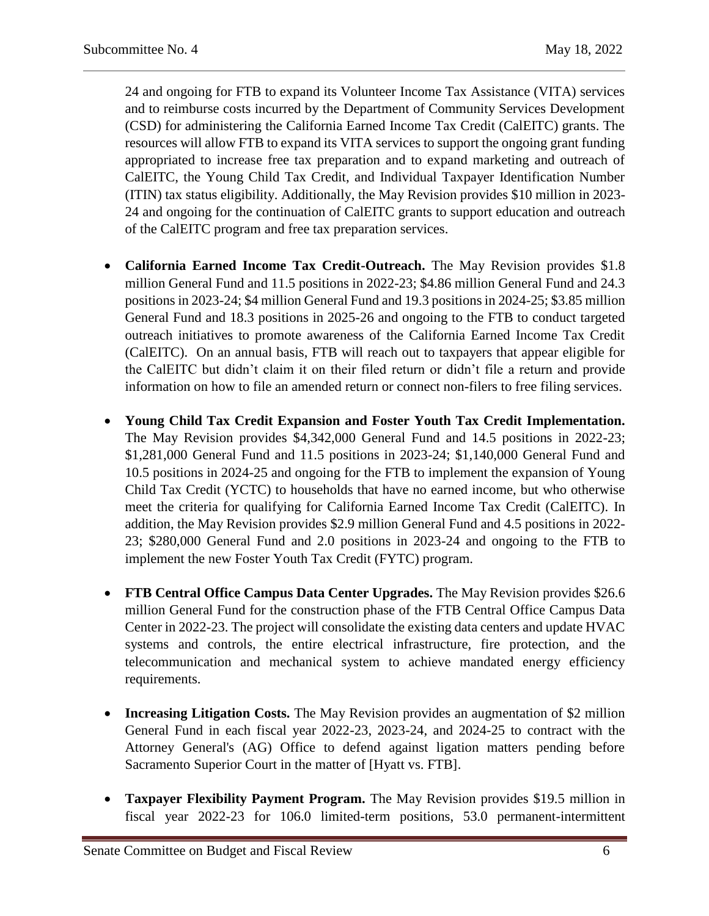24 and ongoing for FTB to expand its Volunteer Income Tax Assistance (VITA) services and to reimburse costs incurred by the Department of Community Services Development (CSD) for administering the California Earned Income Tax Credit (CalEITC) grants. The resources will allow FTB to expand its VITA services to support the ongoing grant funding appropriated to increase free tax preparation and to expand marketing and outreach of CalEITC, the Young Child Tax Credit, and Individual Taxpayer Identification Number (ITIN) tax status eligibility. Additionally, the May Revision provides \$10 million in 2023- 24 and ongoing for the continuation of CalEITC grants to support education and outreach of the CalEITC program and free tax preparation services.

- **California Earned Income Tax Credit-Outreach.** The May Revision provides \$1.8 million General Fund and 11.5 positions in 2022-23; \$4.86 million General Fund and 24.3 positions in 2023-24; \$4 million General Fund and 19.3 positions in 2024-25; \$3.85 million General Fund and 18.3 positions in 2025-26 and ongoing to the FTB to conduct targeted outreach initiatives to promote awareness of the California Earned Income Tax Credit (CalEITC). On an annual basis, FTB will reach out to taxpayers that appear eligible for the CalEITC but didn't claim it on their filed return or didn't file a return and provide information on how to file an amended return or connect non-filers to free filing services.
- **Young Child Tax Credit Expansion and Foster Youth Tax Credit Implementation.** The May Revision provides \$4,342,000 General Fund and 14.5 positions in 2022-23; \$1,281,000 General Fund and 11.5 positions in 2023-24; \$1,140,000 General Fund and 10.5 positions in 2024-25 and ongoing for the FTB to implement the expansion of Young Child Tax Credit (YCTC) to households that have no earned income, but who otherwise meet the criteria for qualifying for California Earned Income Tax Credit (CalEITC). In addition, the May Revision provides \$2.9 million General Fund and 4.5 positions in 2022- 23; \$280,000 General Fund and 2.0 positions in 2023-24 and ongoing to the FTB to implement the new Foster Youth Tax Credit (FYTC) program.
- **FTB Central Office Campus Data Center Upgrades.** The May Revision provides \$26.6 million General Fund for the construction phase of the FTB Central Office Campus Data Center in 2022-23. The project will consolidate the existing data centers and update HVAC systems and controls, the entire electrical infrastructure, fire protection, and the telecommunication and mechanical system to achieve mandated energy efficiency requirements.
- **Increasing Litigation Costs.** The May Revision provides an augmentation of \$2 million General Fund in each fiscal year 2022-23, 2023-24, and 2024-25 to contract with the Attorney General's (AG) Office to defend against ligation matters pending before Sacramento Superior Court in the matter of [Hyatt vs. FTB].
- **Taxpayer Flexibility Payment Program.** The May Revision provides \$19.5 million in fiscal year 2022-23 for 106.0 limited-term positions, 53.0 permanent-intermittent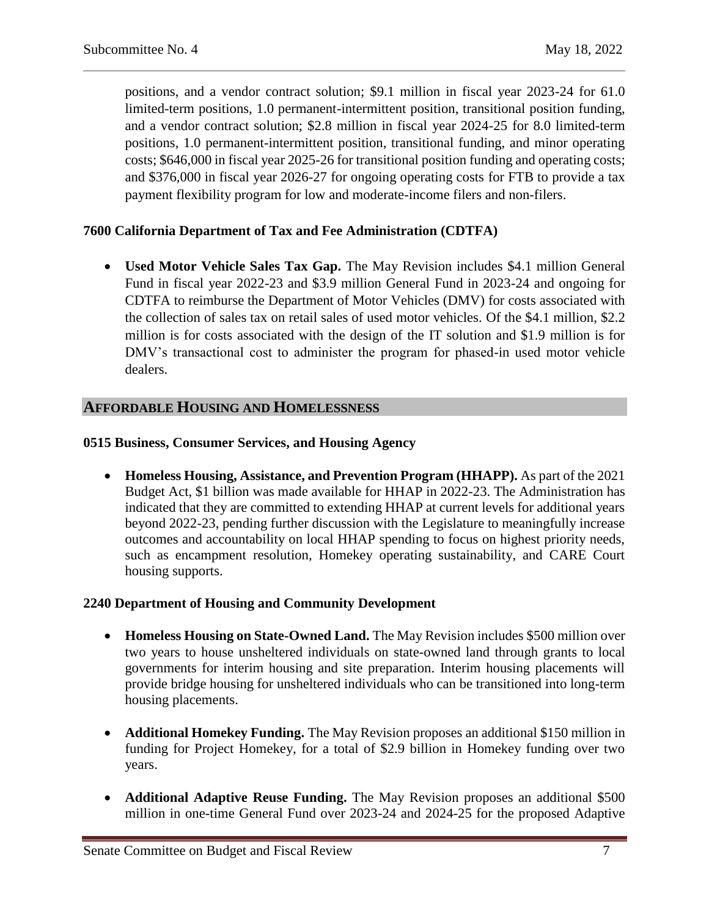positions, and a vendor contract solution; \$9.1 million in fiscal year 2023-24 for 61.0 limited-term positions, 1.0 permanent-intermittent position, transitional position funding, and a vendor contract solution; \$2.8 million in fiscal year 2024-25 for 8.0 limited-term positions, 1.0 permanent-intermittent position, transitional funding, and minor operating costs; \$646,000 in fiscal year 2025-26 for transitional position funding and operating costs; and \$376,000 in fiscal year 2026-27 for ongoing operating costs for FTB to provide a tax payment flexibility program for low and moderate-income filers and non-filers.

# **7600 California Department of Tax and Fee Administration (CDTFA)**

 **Used Motor Vehicle Sales Tax Gap.** The May Revision includes \$4.1 million General Fund in fiscal year 2022-23 and \$3.9 million General Fund in 2023-24 and ongoing for CDTFA to reimburse the Department of Motor Vehicles (DMV) for costs associated with the collection of sales tax on retail sales of used motor vehicles. Of the \$4.1 million, \$2.2 million is for costs associated with the design of the IT solution and \$1.9 million is for DMV's transactional cost to administer the program for phased-in used motor vehicle dealers.

# <span id="page-6-0"></span>**AFFORDABLE HOUSING AND HOMELESSNESS**

### **0515 Business, Consumer Services, and Housing Agency**

 **Homeless Housing, Assistance, and Prevention Program (HHAPP).** As part of the 2021 Budget Act, \$1 billion was made available for HHAP in 2022-23. The Administration has indicated that they are committed to extending HHAP at current levels for additional years beyond 2022-23, pending further discussion with the Legislature to meaningfully increase outcomes and accountability on local HHAP spending to focus on highest priority needs, such as encampment resolution, Homekey operating sustainability, and CARE Court housing supports.

#### **2240 Department of Housing and Community Development**

- **Homeless Housing on State-Owned Land.** The May Revision includes \$500 million over two years to house unsheltered individuals on state-owned land through grants to local governments for interim housing and site preparation. Interim housing placements will provide bridge housing for unsheltered individuals who can be transitioned into long-term housing placements.
- **Additional Homekey Funding.** The May Revision proposes an additional \$150 million in funding for Project Homekey, for a total of \$2.9 billion in Homekey funding over two years.
- **Additional Adaptive Reuse Funding.** The May Revision proposes an additional \$500 million in one-time General Fund over 2023-24 and 2024-25 for the proposed Adaptive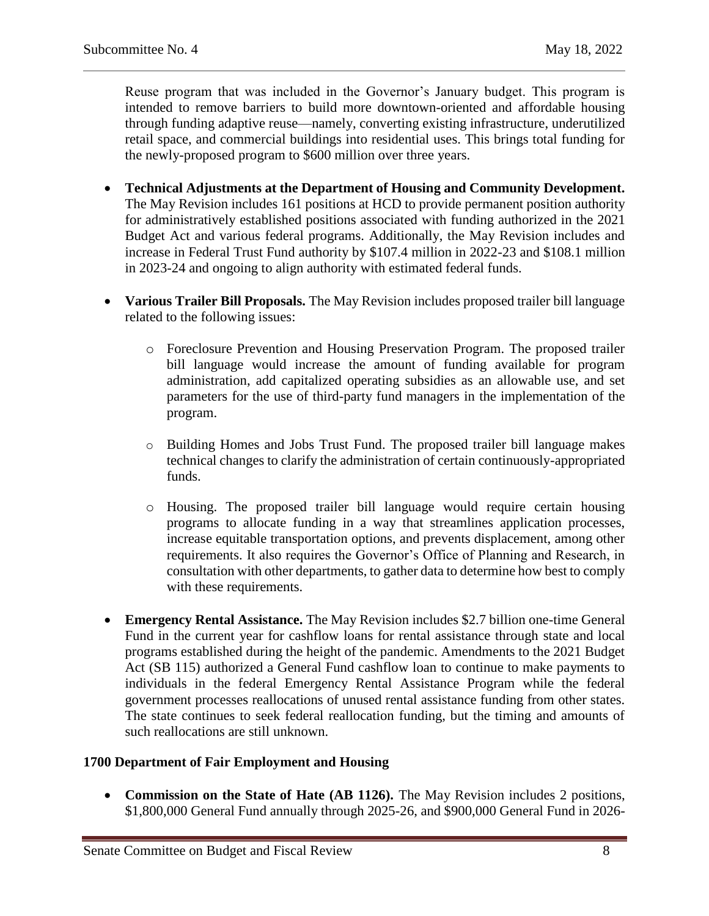Reuse program that was included in the Governor's January budget. This program is intended to remove barriers to build more downtown-oriented and affordable housing through funding adaptive reuse—namely, converting existing infrastructure, underutilized retail space, and commercial buildings into residential uses. This brings total funding for the newly-proposed program to \$600 million over three years.

- **Technical Adjustments at the Department of Housing and Community Development.**  The May Revision includes 161 positions at HCD to provide permanent position authority for administratively established positions associated with funding authorized in the 2021 Budget Act and various federal programs. Additionally, the May Revision includes and increase in Federal Trust Fund authority by \$107.4 million in 2022-23 and \$108.1 million in 2023-24 and ongoing to align authority with estimated federal funds.
- **Various Trailer Bill Proposals.** The May Revision includes proposed trailer bill language related to the following issues:
	- o Foreclosure Prevention and Housing Preservation Program. The proposed trailer bill language would increase the amount of funding available for program administration, add capitalized operating subsidies as an allowable use, and set parameters for the use of third-party fund managers in the implementation of the program.
	- o Building Homes and Jobs Trust Fund. The proposed trailer bill language makes technical changes to clarify the administration of certain continuously-appropriated funds.
	- o Housing. The proposed trailer bill language would require certain housing programs to allocate funding in a way that streamlines application processes, increase equitable transportation options, and prevents displacement, among other requirements. It also requires the Governor's Office of Planning and Research, in consultation with other departments, to gather data to determine how best to comply with these requirements.
- **Emergency Rental Assistance.** The May Revision includes \$2.7 billion one-time General Fund in the current year for cashflow loans for rental assistance through state and local programs established during the height of the pandemic. Amendments to the 2021 Budget Act (SB 115) authorized a General Fund cashflow loan to continue to make payments to individuals in the federal Emergency Rental Assistance Program while the federal government processes reallocations of unused rental assistance funding from other states. The state continues to seek federal reallocation funding, but the timing and amounts of such reallocations are still unknown.

# **1700 Department of Fair Employment and Housing**

• **Commission on the State of Hate (AB 1126).** The May Revision includes 2 positions, \$1,800,000 General Fund annually through 2025-26, and \$900,000 General Fund in 2026-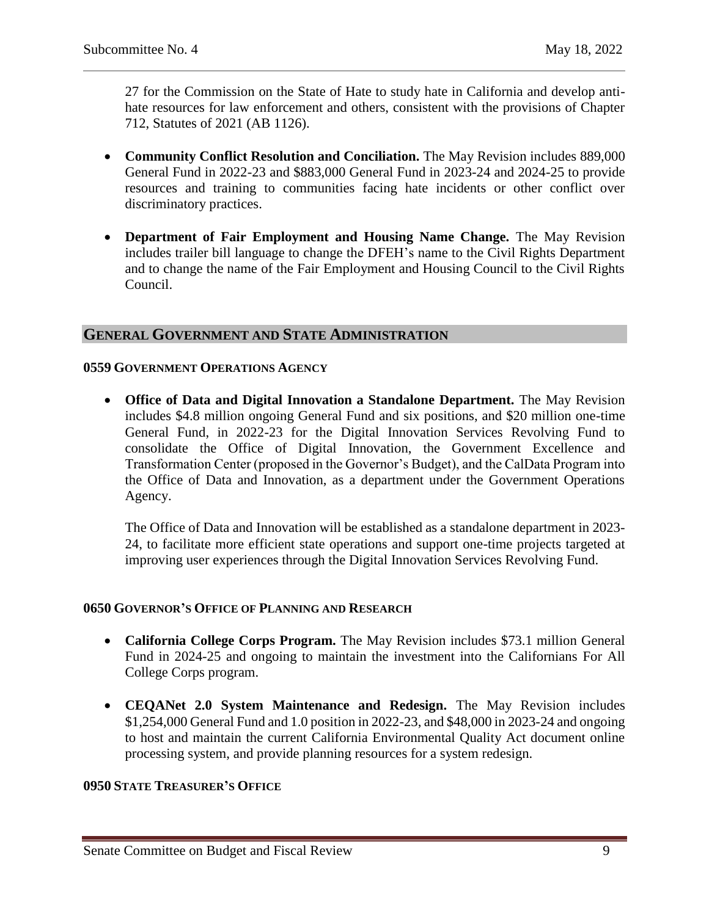27 for the Commission on the State of Hate to study hate in California and develop antihate resources for law enforcement and others, consistent with the provisions of Chapter 712, Statutes of 2021 (AB 1126).

- **Community Conflict Resolution and Conciliation.** The May Revision includes 889,000 General Fund in 2022-23 and \$883,000 General Fund in 2023-24 and 2024-25 to provide resources and training to communities facing hate incidents or other conflict over discriminatory practices.
- **Department of Fair Employment and Housing Name Change.** The May Revision includes trailer bill language to change the DFEH's name to the Civil Rights Department and to change the name of the Fair Employment and Housing Council to the Civil Rights Council.

# <span id="page-8-0"></span>**GENERAL GOVERNMENT AND STATE ADMINISTRATION**

#### **0559 GOVERNMENT OPERATIONS AGENCY**

 **Office of Data and Digital Innovation a Standalone Department.** The May Revision includes \$4.8 million ongoing General Fund and six positions, and \$20 million one-time General Fund, in 2022-23 for the Digital Innovation Services Revolving Fund to consolidate the Office of Digital Innovation, the Government Excellence and Transformation Center (proposed in the Governor's Budget), and the CalData Program into the Office of Data and Innovation, as a department under the Government Operations Agency.

The Office of Data and Innovation will be established as a standalone department in 2023- 24, to facilitate more efficient state operations and support one-time projects targeted at improving user experiences through the Digital Innovation Services Revolving Fund.

#### **0650 GOVERNOR'S OFFICE OF PLANNING AND RESEARCH**

- **California College Corps Program.** The May Revision includes \$73.1 million General Fund in 2024-25 and ongoing to maintain the investment into the Californians For All College Corps program.
- **CEQANet 2.0 System Maintenance and Redesign.** The May Revision includes \$1,254,000 General Fund and 1.0 position in 2022-23, and \$48,000 in 2023-24 and ongoing to host and maintain the current California Environmental Quality Act document online processing system, and provide planning resources for a system redesign.

# **0950 STATE TREASURER'S OFFICE**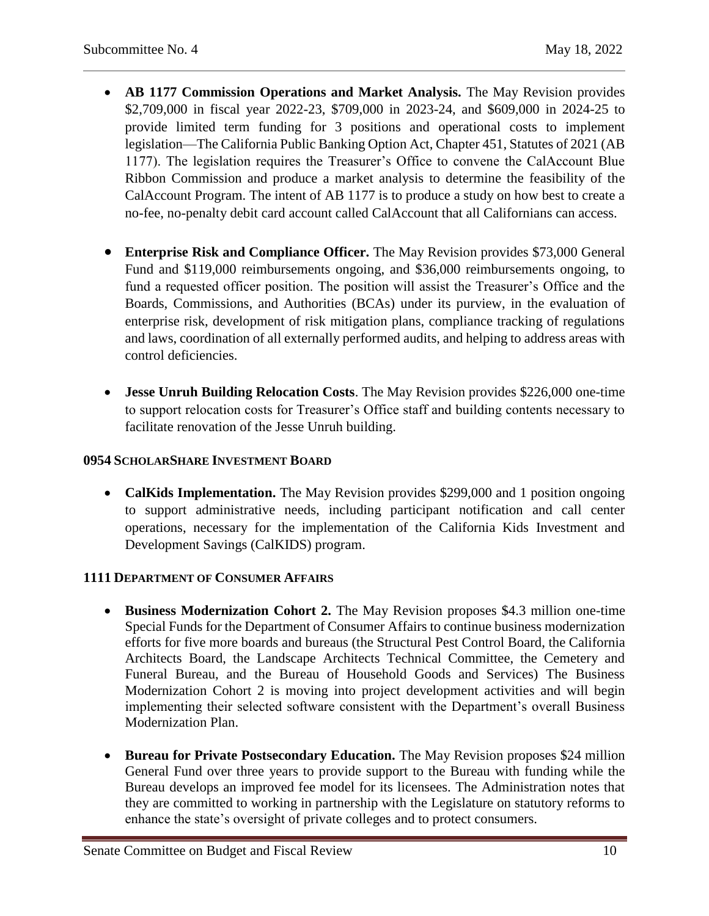- **AB 1177 Commission Operations and Market Analysis.** The May Revision provides \$2,709,000 in fiscal year 2022-23, \$709,000 in 2023-24, and \$609,000 in 2024-25 to provide limited term funding for 3 positions and operational costs to implement legislation—The California Public Banking Option Act, Chapter 451, Statutes of 2021 (AB 1177). The legislation requires the Treasurer's Office to convene the CalAccount Blue Ribbon Commission and produce a market analysis to determine the feasibility of the CalAccount Program. The intent of AB 1177 is to produce a study on how best to create a no-fee, no-penalty debit card account called CalAccount that all Californians can access.
- **Enterprise Risk and Compliance Officer.** The May Revision provides \$73,000 General Fund and \$119,000 reimbursements ongoing, and \$36,000 reimbursements ongoing, to fund a requested officer position. The position will assist the Treasurer's Office and the Boards, Commissions, and Authorities (BCAs) under its purview, in the evaluation of enterprise risk, development of risk mitigation plans, compliance tracking of regulations and laws, coordination of all externally performed audits, and helping to address areas with control deficiencies.
- **Jesse Unruh Building Relocation Costs**. The May Revision provides \$226,000 one-time to support relocation costs for Treasurer's Office staff and building contents necessary to facilitate renovation of the Jesse Unruh building.

# **0954 SCHOLARSHARE INVESTMENT BOARD**

 **CalKids Implementation.** The May Revision provides \$299,000 and 1 position ongoing to support administrative needs, including participant notification and call center operations, necessary for the implementation of the California Kids Investment and Development Savings (CalKIDS) program.

# **1111 DEPARTMENT OF CONSUMER AFFAIRS**

- **Business Modernization Cohort 2.** The May Revision proposes \$4.3 million one-time Special Funds for the Department of Consumer Affairs to continue business modernization efforts for five more boards and bureaus (the Structural Pest Control Board, the California Architects Board, the Landscape Architects Technical Committee, the Cemetery and Funeral Bureau, and the Bureau of Household Goods and Services) The Business Modernization Cohort 2 is moving into project development activities and will begin implementing their selected software consistent with the Department's overall Business Modernization Plan.
- **Bureau for Private Postsecondary Education.** The May Revision proposes \$24 million General Fund over three years to provide support to the Bureau with funding while the Bureau develops an improved fee model for its licensees. The Administration notes that they are committed to working in partnership with the Legislature on statutory reforms to enhance the state's oversight of private colleges and to protect consumers.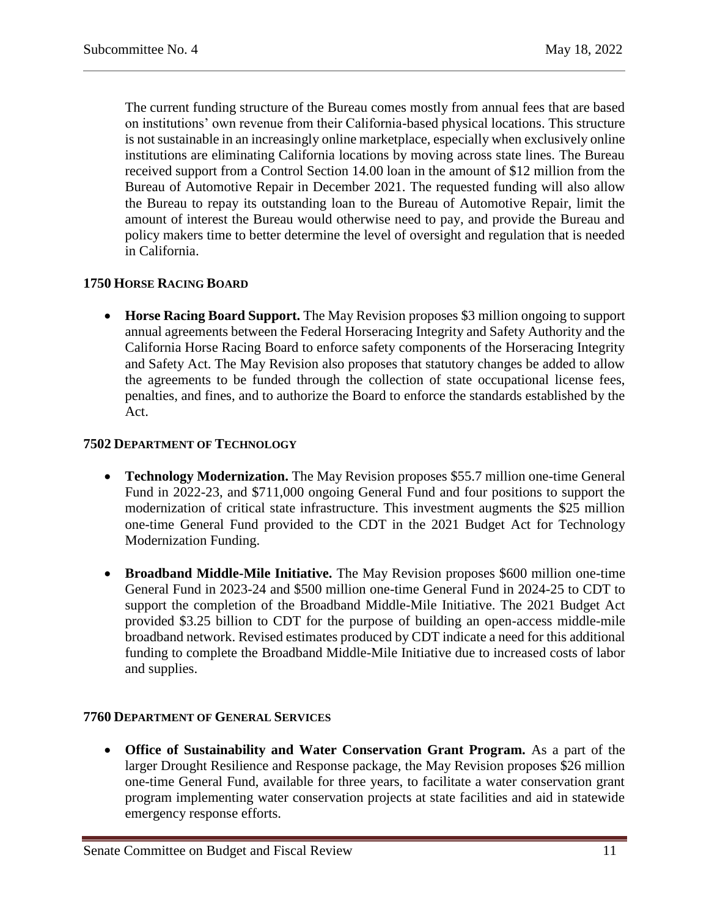The current funding structure of the Bureau comes mostly from annual fees that are based on institutions' own revenue from their California-based physical locations. This structure is not sustainable in an increasingly online marketplace, especially when exclusively online institutions are eliminating California locations by moving across state lines. The Bureau received support from a Control Section 14.00 loan in the amount of \$12 million from the Bureau of Automotive Repair in December 2021. The requested funding will also allow the Bureau to repay its outstanding loan to the Bureau of Automotive Repair, limit the amount of interest the Bureau would otherwise need to pay, and provide the Bureau and policy makers time to better determine the level of oversight and regulation that is needed in California.

### **1750 HORSE RACING BOARD**

 **Horse Racing Board Support.** The May Revision proposes \$3 million ongoing to support annual agreements between the Federal Horseracing Integrity and Safety Authority and the California Horse Racing Board to enforce safety components of the Horseracing Integrity and Safety Act. The May Revision also proposes that statutory changes be added to allow the agreements to be funded through the collection of state occupational license fees, penalties, and fines, and to authorize the Board to enforce the standards established by the Act.

#### **7502 DEPARTMENT OF TECHNOLOGY**

- **Technology Modernization.** The May Revision proposes \$55.7 million one-time General Fund in 2022-23, and \$711,000 ongoing General Fund and four positions to support the modernization of critical state infrastructure. This investment augments the \$25 million one-time General Fund provided to the CDT in the 2021 Budget Act for Technology Modernization Funding.
- **Broadband Middle-Mile Initiative.** The May Revision proposes \$600 million one-time General Fund in 2023-24 and \$500 million one-time General Fund in 2024-25 to CDT to support the completion of the Broadband Middle-Mile Initiative. The 2021 Budget Act provided \$3.25 billion to CDT for the purpose of building an open-access middle-mile broadband network. Revised estimates produced by CDT indicate a need for this additional funding to complete the Broadband Middle-Mile Initiative due to increased costs of labor and supplies.

#### **7760 DEPARTMENT OF GENERAL SERVICES**

 **Office of Sustainability and Water Conservation Grant Program.** As a part of the larger Drought Resilience and Response package, the May Revision proposes \$26 million one-time General Fund, available for three years, to facilitate a water conservation grant program implementing water conservation projects at state facilities and aid in statewide emergency response efforts.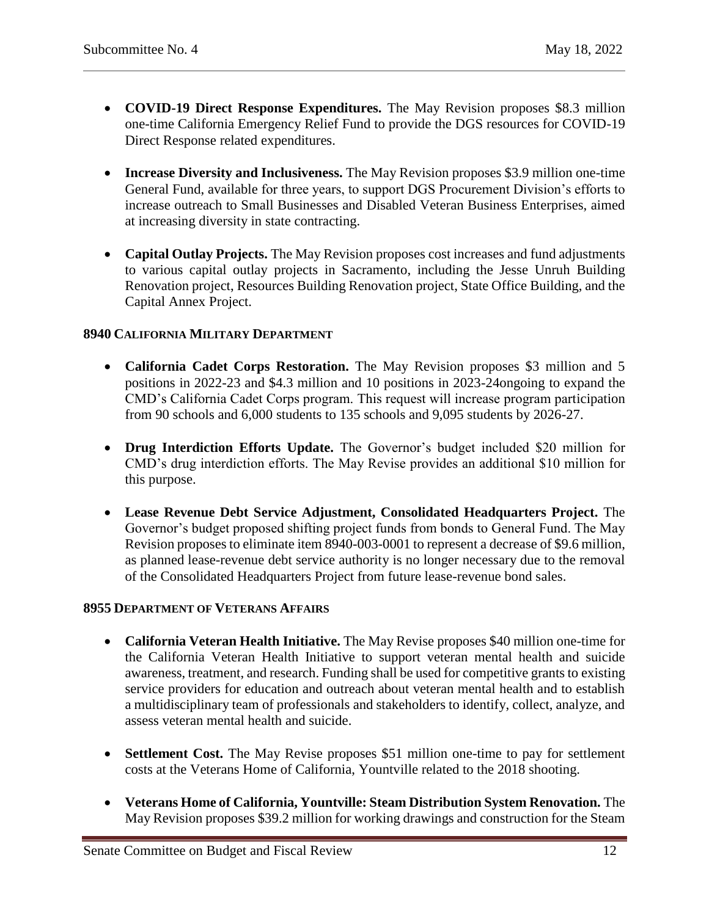- **COVID-19 Direct Response Expenditures.** The May Revision proposes \$8.3 million one-time California Emergency Relief Fund to provide the DGS resources for COVID-19 Direct Response related expenditures.
- **Increase Diversity and Inclusiveness.** The May Revision proposes \$3.9 million one-time General Fund, available for three years, to support DGS Procurement Division's efforts to increase outreach to Small Businesses and Disabled Veteran Business Enterprises, aimed at increasing diversity in state contracting.
- **Capital Outlay Projects.** The May Revision proposes cost increases and fund adjustments to various capital outlay projects in Sacramento, including the Jesse Unruh Building Renovation project, Resources Building Renovation project, State Office Building, and the Capital Annex Project.

### **8940 CALIFORNIA MILITARY DEPARTMENT**

- California Cadet Corps Restoration. The May Revision proposes \$3 million and 5 positions in 2022-23 and \$4.3 million and 10 positions in 2023-24ongoing to expand the CMD's California Cadet Corps program. This request will increase program participation from 90 schools and 6,000 students to 135 schools and 9,095 students by 2026-27.
- **Drug Interdiction Efforts Update.** The Governor's budget included \$20 million for CMD's drug interdiction efforts. The May Revise provides an additional \$10 million for this purpose.
- **Lease Revenue Debt Service Adjustment, Consolidated Headquarters Project.** The Governor's budget proposed shifting project funds from bonds to General Fund. The May Revision proposes to eliminate item 8940-003-0001 to represent a decrease of \$9.6 million, as planned lease-revenue debt service authority is no longer necessary due to the removal of the Consolidated Headquarters Project from future lease-revenue bond sales.

#### **8955 DEPARTMENT OF VETERANS AFFAIRS**

- **California Veteran Health Initiative.** The May Revise proposes \$40 million one-time for the California Veteran Health Initiative to support veteran mental health and suicide awareness, treatment, and research. Funding shall be used for competitive grants to existing service providers for education and outreach about veteran mental health and to establish a multidisciplinary team of professionals and stakeholders to identify, collect, analyze, and assess veteran mental health and suicide.
- **Settlement Cost.** The May Revise proposes \$51 million one-time to pay for settlement costs at the Veterans Home of California, Yountville related to the 2018 shooting.
- **Veterans Home of California, Yountville: Steam Distribution System Renovation.** The May Revision proposes \$39.2 million for working drawings and construction for the Steam